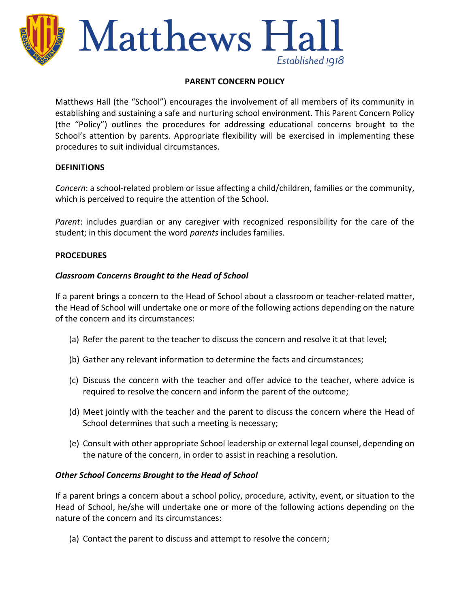

### **PARENT CONCERN POLICY**

Matthews Hall (the "School") encourages the involvement of all members of its community in establishing and sustaining a safe and nurturing school environment. This Parent Concern Policy (the "Policy") outlines the procedures for addressing educational concerns brought to the School's attention by parents. Appropriate flexibility will be exercised in implementing these procedures to suit individual circumstances.

### **DEFINITIONS**

*Concern*: a school-related problem or issue affecting a child/children, families or the community, which is perceived to require the attention of the School.

*Parent*: includes guardian or any caregiver with recognized responsibility for the care of the student; in this document the word *parents* includes families.

### **PROCEDURES**

### *Classroom Concerns Brought to the Head of School*

If a parent brings a concern to the Head of School about a classroom or teacher-related matter, the Head of School will undertake one or more of the following actions depending on the nature of the concern and its circumstances:

- (a) Refer the parent to the teacher to discuss the concern and resolve it at that level;
- (b) Gather any relevant information to determine the facts and circumstances;
- (c) Discuss the concern with the teacher and offer advice to the teacher, where advice is required to resolve the concern and inform the parent of the outcome;
- (d) Meet jointly with the teacher and the parent to discuss the concern where the Head of School determines that such a meeting is necessary;
- (e) Consult with other appropriate School leadership or external legal counsel, depending on the nature of the concern, in order to assist in reaching a resolution.

# *Other School Concerns Brought to the Head of School*

If a parent brings a concern about a school policy, procedure, activity, event, or situation to the Head of School, he/she will undertake one or more of the following actions depending on the nature of the concern and its circumstances:

(a) Contact the parent to discuss and attempt to resolve the concern;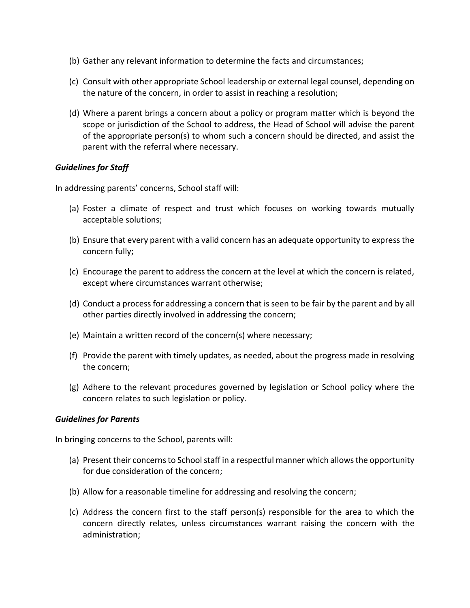- (b) Gather any relevant information to determine the facts and circumstances;
- (c) Consult with other appropriate School leadership or external legal counsel, depending on the nature of the concern, in order to assist in reaching a resolution;
- (d) Where a parent brings a concern about a policy or program matter which is beyond the scope or jurisdiction of the School to address, the Head of School will advise the parent of the appropriate person(s) to whom such a concern should be directed, and assist the parent with the referral where necessary.

## *Guidelines for Staff*

In addressing parents' concerns, School staff will:

- (a) Foster a climate of respect and trust which focuses on working towards mutually acceptable solutions;
- (b) Ensure that every parent with a valid concern has an adequate opportunity to express the concern fully;
- (c) Encourage the parent to address the concern at the level at which the concern is related, except where circumstances warrant otherwise;
- (d) Conduct a process for addressing a concern that is seen to be fair by the parent and by all other parties directly involved in addressing the concern;
- (e) Maintain a written record of the concern(s) where necessary;
- (f) Provide the parent with timely updates, as needed, about the progress made in resolving the concern;
- (g) Adhere to the relevant procedures governed by legislation or School policy where the concern relates to such legislation or policy.

#### *Guidelines for Parents*

In bringing concerns to the School, parents will:

- (a) Present their concerns to School staff in a respectful manner which allows the opportunity for due consideration of the concern;
- (b) Allow for a reasonable timeline for addressing and resolving the concern;
- (c) Address the concern first to the staff person(s) responsible for the area to which the concern directly relates, unless circumstances warrant raising the concern with the administration;